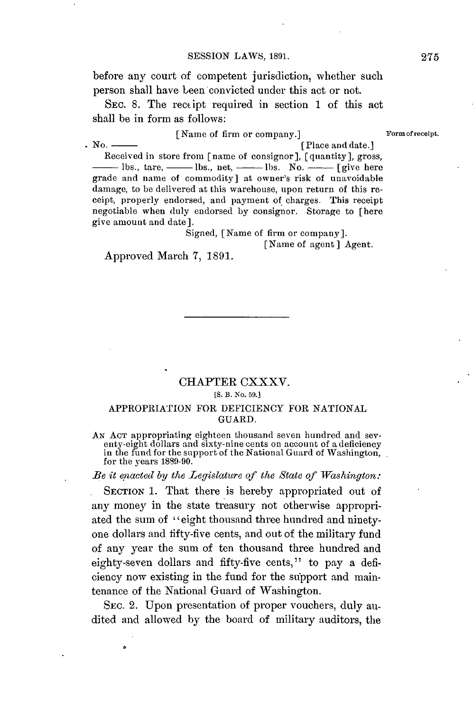before any court of competent jurisdiction, whether such person shall have been convicted under this act or not.

SEc. **8.** The reccipt required in section **1** of this act shall be in form as follows:

[Name of firm or company.] **Formofreceipt.** 

 $\mathbf{N}$ o.  $\overline{\phantom{a}}$  (Place and date.) Received in store from [name of consignor], [quantity], gross, **-** lbs., tare, **-** lbs., net, **-** lbs. No. **-** [give here grade and name of commodity] at owner's risk of unavoidable damage, to be delivered at this warehouse, upon return of this receipt, properly endorsed, and payment of charges. This receipt negotiable when duly endorsed **by** consignor. Storage to [here give amount and date].

Signed, [Name of firm or company].

[Name of agent] Agent.

Approved March **7, 1891.**

# CHAPTER CXXXV. **[S. B. No. 59.]**

#### APPROPRIATION FOR DEFICIENCY FOR NATIONAL **GUARD.**

AN ACT appropriating eighteen thousand seven hundred and seventy-eight dollars and sixty-nine cents on account of a deficiency in the fund for the support of the National Guard of Washington, for the years 1889-90.

*Be it enacted by the Legislature of the State of Washington:* 

SECTION 1. That there is hereby appropriated out of any money in the state treasury not otherwise appropriated the sum of "eight thousand three hundred and ninetyone dollars and fifty-five cents, and out of the military fund of any year the sum of ten thousand three hundred and eighty-seven dollars **and fifty-five** cents," to pay a deficiency now existing in the fund for the support and maintenance of the National Guard of Washington.

SEc. 2. Upon presentation of proper vouchers, duly audited and allowed **by** the board of military auditors, the